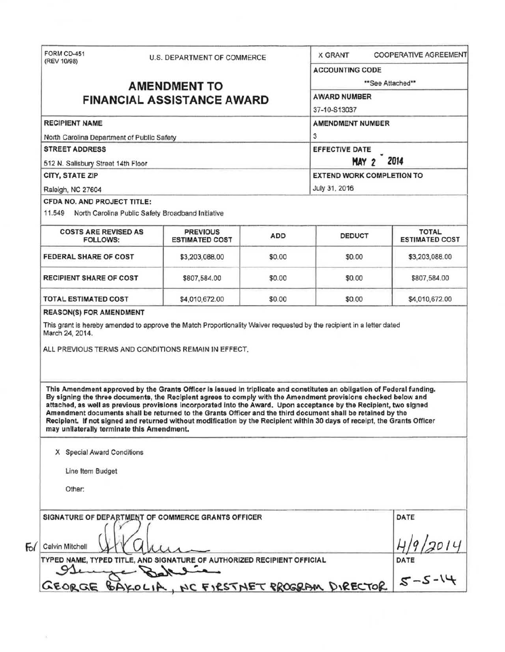|                                                                                                                                   | <b>U.S. DEPARTMENT OF COMMERCE</b>                                                                                                                                                                                                                                                                                                                                                                                                                                                                                                                                                                          |        | <b>COOPERATIVE AGREEMENT</b><br>X GRANT                                                      |                                       |  |                                    |  |  |                                  |  |  |
|-----------------------------------------------------------------------------------------------------------------------------------|-------------------------------------------------------------------------------------------------------------------------------------------------------------------------------------------------------------------------------------------------------------------------------------------------------------------------------------------------------------------------------------------------------------------------------------------------------------------------------------------------------------------------------------------------------------------------------------------------------------|--------|----------------------------------------------------------------------------------------------|---------------------------------------|--|------------------------------------|--|--|----------------------------------|--|--|
|                                                                                                                                   |                                                                                                                                                                                                                                                                                                                                                                                                                                                                                                                                                                                                             |        | <b>ACCOUNTING CODE</b>                                                                       |                                       |  |                                    |  |  |                                  |  |  |
|                                                                                                                                   | <b>AMENDMENT TO</b>                                                                                                                                                                                                                                                                                                                                                                                                                                                                                                                                                                                         |        | **See Attached**                                                                             |                                       |  |                                    |  |  |                                  |  |  |
| <b>FINANCIAL ASSISTANCE AWARD</b><br><b>RECIPIENT NAME</b><br>North Carolina Department of Public Safety<br><b>STREET ADDRESS</b> |                                                                                                                                                                                                                                                                                                                                                                                                                                                                                                                                                                                                             |        | <b>AWARD NUMBER</b><br>37-10-S13037<br><b>AMENDMENT NUMBER</b><br>3<br><b>EFFECTIVE DATE</b> |                                       |  |                                    |  |  |                                  |  |  |
|                                                                                                                                   |                                                                                                                                                                                                                                                                                                                                                                                                                                                                                                                                                                                                             |        |                                                                                              |                                       |  | 512 N. Salisbury Street 14th Floor |  |  | 2014<br>MAY 2                    |  |  |
|                                                                                                                                   |                                                                                                                                                                                                                                                                                                                                                                                                                                                                                                                                                                                                             |        |                                                                                              |                                       |  | <b>CITY, STATE ZIP</b>             |  |  | <b>EXTEND WORK COMPLETION TO</b> |  |  |
|                                                                                                                                   |                                                                                                                                                                                                                                                                                                                                                                                                                                                                                                                                                                                                             |        |                                                                                              |                                       |  | Raleigh, NC 27604                  |  |  | July 31, 2016                    |  |  |
|                                                                                                                                   |                                                                                                                                                                                                                                                                                                                                                                                                                                                                                                                                                                                                             |        |                                                                                              |                                       |  | CFDA NO. AND PROJECT TITLE:        |  |  |                                  |  |  |
| 11.549 North Carolina Public Safety Broadband Initiative                                                                          |                                                                                                                                                                                                                                                                                                                                                                                                                                                                                                                                                                                                             |        |                                                                                              |                                       |  |                                    |  |  |                                  |  |  |
| <b>COSTS ARE REVISED AS</b><br><b>FOLLOWS:</b>                                                                                    | <b>PREVIOUS</b><br><b>ESTIMATED COST</b>                                                                                                                                                                                                                                                                                                                                                                                                                                                                                                                                                                    | ADD    | <b>DEDUCT</b>                                                                                | <b>TOTAL</b><br><b>ESTIMATED COST</b> |  |                                    |  |  |                                  |  |  |
| <b>FEDERAL SHARE OF COST</b>                                                                                                      | \$3,203,088.00                                                                                                                                                                                                                                                                                                                                                                                                                                                                                                                                                                                              | \$0.00 | \$0.00                                                                                       | \$3,203,088.00                        |  |                                    |  |  |                                  |  |  |
| <b>RECIPIENT SHARE OF COST</b>                                                                                                    | \$807,584.00                                                                                                                                                                                                                                                                                                                                                                                                                                                                                                                                                                                                | \$0.00 | \$0.00                                                                                       | \$807,584.00                          |  |                                    |  |  |                                  |  |  |
| TOTAL ESTIMATED COST                                                                                                              | \$4,010,672.00                                                                                                                                                                                                                                                                                                                                                                                                                                                                                                                                                                                              | \$0.00 | \$0.00                                                                                       | \$4,010,672.00                        |  |                                    |  |  |                                  |  |  |
|                                                                                                                                   | This grant is hereby amended to approve the Match Proportionality Waiver requested by the recipient in a letter dated                                                                                                                                                                                                                                                                                                                                                                                                                                                                                       |        |                                                                                              |                                       |  |                                    |  |  |                                  |  |  |
| March 24, 2014.                                                                                                                   | ALL PREVIOUS TERMS AND CONDITIONS REMAIN IN EFFECT.                                                                                                                                                                                                                                                                                                                                                                                                                                                                                                                                                         |        |                                                                                              |                                       |  |                                    |  |  |                                  |  |  |
| may unilaterally terminate this Amendment.                                                                                        | This Amendment approved by the Grants Officer is issued in triplicate and constitutes an obligation of Federal funding.<br>By signing the three documents, the Recipient agrees to comply with the Amendment provisions checked below and<br>attached, as well as previous provisions incorporated into the Award. Upon acceptance by the Recipient, two signed<br>Amendment documents shall be returned to the Grants Officer and the third document shall be retained by the<br>Recipient. If not signed and returned without modification by the Recipient within 30 days of receipt, the Grants Officer |        |                                                                                              |                                       |  |                                    |  |  |                                  |  |  |
| X Special Award Conditions                                                                                                        |                                                                                                                                                                                                                                                                                                                                                                                                                                                                                                                                                                                                             |        |                                                                                              |                                       |  |                                    |  |  |                                  |  |  |
| Line Item Budget                                                                                                                  |                                                                                                                                                                                                                                                                                                                                                                                                                                                                                                                                                                                                             |        |                                                                                              |                                       |  |                                    |  |  |                                  |  |  |
| Other:                                                                                                                            |                                                                                                                                                                                                                                                                                                                                                                                                                                                                                                                                                                                                             |        |                                                                                              |                                       |  |                                    |  |  |                                  |  |  |
|                                                                                                                                   | SIGNATURE OF DEPARTMENT OF COMMERCE GRANTS OFFICER                                                                                                                                                                                                                                                                                                                                                                                                                                                                                                                                                          |        |                                                                                              | DATE                                  |  |                                    |  |  |                                  |  |  |
| Calvin Mitchell                                                                                                                   |                                                                                                                                                                                                                                                                                                                                                                                                                                                                                                                                                                                                             |        |                                                                                              |                                       |  |                                    |  |  |                                  |  |  |
|                                                                                                                                   | TYPED NAME, TYPED TITLE, AND SIGNATURE OF AUTHORIZED RECIPIENT OFFICIAL<br>وسلامهما                                                                                                                                                                                                                                                                                                                                                                                                                                                                                                                         |        |                                                                                              | DATE<br>$S-S-14$                      |  |                                    |  |  |                                  |  |  |